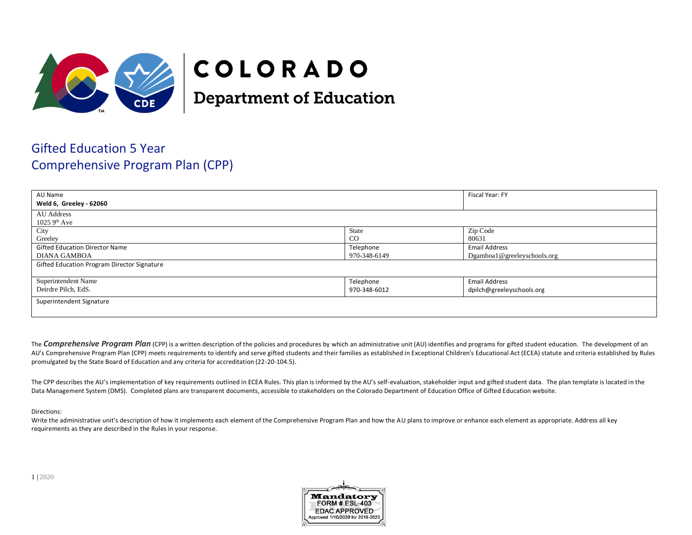

# COLORADO

**Department of Education** 

## Gifted Education 5 Year Comprehensive Program Plan (CPP)

| AU Name                                     |              | Fiscal Year: FY             |
|---------------------------------------------|--------------|-----------------------------|
| Weld 6, Greeley - 62060                     |              |                             |
| AU Address                                  |              |                             |
| $1025$ 9 <sup>th</sup> Ave                  |              |                             |
| City                                        | State        | Zip Code                    |
| Greeley                                     | $_{\rm CO}$  | 80631                       |
| <b>Gifted Education Director Name</b>       | Telephone    | <b>Email Address</b>        |
| 970-348-6149<br><b>DIANA GAMBOA</b>         |              | Dgamboa1@greeleyschools.org |
| Gifted Education Program Director Signature |              |                             |
|                                             |              |                             |
| Superintendent Name                         | Telephone    | <b>Email Address</b>        |
| Deirdre Pilch, EdS.                         | 970-348-6012 | dpilch@greeleyschools.org   |
| Superintendent Signature                    |              |                             |
|                                             |              |                             |

The **Comprehensive Program Plan** (CPP) is a written description of the policies and procedures by which an administrative unit (AU) identifies and programs for gifted student education. The development of an AU's Comprehensive Program Plan (CPP) meets requirements to identify and serve gifted students and their families as established in Exceptional Children's Educational Act (ECEA) statute and criteria established by Rules promulgated by the State Board of Education and any criteria for accreditation (22-20-104.5).

The CPP describes the AU's implementation of key requirements outlined in ECEA Rules. This plan is informed by the AU's self-evaluation, stakeholder input and gifted student data. The plan template is located in the Data Management System (DMS). Completed plans are transparent documents, accessible to stakeholders on the Colorado Department of Education Office of Gifted Education website.

#### Directions:

Write the administrative unit's description of how it implements each element of the Comprehensive Program Plan and how the AU plans to improve or enhance each element as appropriate. Address all key requirements as they are described in the Rules in your response.

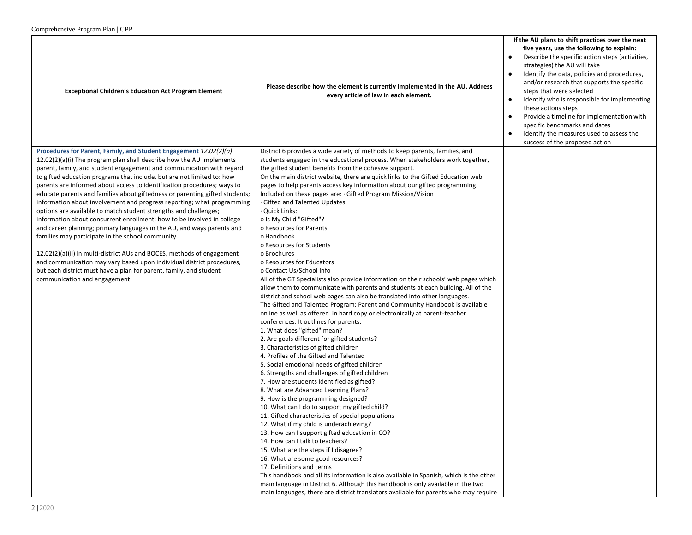| five years, use the following to explain:<br>strategies) the AU will take<br>Please describe how the element is currently implemented in the AU. Address<br><b>Exceptional Children's Education Act Program Element</b><br>steps that were selected<br>every article of law in each element.<br>$\bullet$<br>these actions steps<br>specific benchmarks and dates<br>$\bullet$<br>success of the proposed action<br>Procedures for Parent, Family, and Student Engagement 12.02(2)(a)<br>District 6 provides a wide variety of methods to keep parents, families, and<br>$12.02(2)(a)(i)$ The program plan shall describe how the AU implements<br>students engaged in the educational process. When stakeholders work together,<br>parent, family, and student engagement and communication with regard<br>the gifted student benefits from the cohesive support.<br>to gifted education programs that include, but are not limited to: how<br>On the main district website, there are quick links to the Gifted Education web<br>parents are informed about access to identification procedures; ways to<br>pages to help parents access key information about our gifted programming.<br>Included on these pages are: · Gifted Program Mission/Vision<br>educate parents and families about giftedness or parenting gifted students;<br>information about involvement and progress reporting; what programming<br>Gifted and Talented Updates<br>· Quick Links:<br>options are available to match student strengths and challenges;<br>o Is My Child "Gifted"?<br>information about concurrent enrollment; how to be involved in college<br>and career planning; primary languages in the AU, and ways parents and<br>o Resources for Parents<br>o Handbook<br>families may participate in the school community.<br>o Resources for Students<br>12.02(2)(a)(ii) In multi-district AUs and BOCES, methods of engagement<br>o Brochures<br>o Resources for Educators<br>and communication may vary based upon individual district procedures,<br>but each district must have a plan for parent, family, and student<br>o Contact Us/School Info<br>communication and engagement.<br>All of the GT Specialists also provide information on their schools' web pages which<br>allow them to communicate with parents and students at each building. All of the<br>district and school web pages can also be translated into other languages.<br>The Gifted and Talented Program: Parent and Community Handbook is available<br>online as well as offered in hard copy or electronically at parent-teacher<br>conferences. It outlines for parents:<br>1. What does "gifted" mean?<br>2. Are goals different for gifted students?<br>3. Characteristics of gifted children<br>4. Profiles of the Gifted and Talented<br>5. Social emotional needs of gifted children<br>6. Strengths and challenges of gifted children<br>7. How are students identified as gifted? |                                      |                                                                                                                                                                                                                                                                                                                                            |
|-------------------------------------------------------------------------------------------------------------------------------------------------------------------------------------------------------------------------------------------------------------------------------------------------------------------------------------------------------------------------------------------------------------------------------------------------------------------------------------------------------------------------------------------------------------------------------------------------------------------------------------------------------------------------------------------------------------------------------------------------------------------------------------------------------------------------------------------------------------------------------------------------------------------------------------------------------------------------------------------------------------------------------------------------------------------------------------------------------------------------------------------------------------------------------------------------------------------------------------------------------------------------------------------------------------------------------------------------------------------------------------------------------------------------------------------------------------------------------------------------------------------------------------------------------------------------------------------------------------------------------------------------------------------------------------------------------------------------------------------------------------------------------------------------------------------------------------------------------------------------------------------------------------------------------------------------------------------------------------------------------------------------------------------------------------------------------------------------------------------------------------------------------------------------------------------------------------------------------------------------------------------------------------------------------------------------------------------------------------------------------------------------------------------------------------------------------------------------------------------------------------------------------------------------------------------------------------------------------------------------------------------------------------------------------------------------------------------------------------------------------------------------------------------------------------------------------------------------------------------------------------------------------------------------------------------------------------------|--------------------------------------|--------------------------------------------------------------------------------------------------------------------------------------------------------------------------------------------------------------------------------------------------------------------------------------------------------------------------------------------|
|                                                                                                                                                                                                                                                                                                                                                                                                                                                                                                                                                                                                                                                                                                                                                                                                                                                                                                                                                                                                                                                                                                                                                                                                                                                                                                                                                                                                                                                                                                                                                                                                                                                                                                                                                                                                                                                                                                                                                                                                                                                                                                                                                                                                                                                                                                                                                                                                                                                                                                                                                                                                                                                                                                                                                                                                                                                                                                                                                                   |                                      | If the AU plans to shift practices over the next<br>Describe the specific action steps (activities,<br>Identify the data, policies and procedures,<br>and/or research that supports the specific<br>Identify who is responsible for implementing<br>Provide a timeline for implementation with<br>Identify the measures used to assess the |
| 9. How is the programming designed?<br>10. What can I do to support my gifted child?<br>11. Gifted characteristics of special populations<br>12. What if my child is underachieving?<br>13. How can I support gifted education in CO?<br>14. How can I talk to teachers?<br>15. What are the steps if I disagree?<br>16. What are some good resources?<br>17. Definitions and terms<br>This handbook and all its information is also available in Spanish, which is the other<br>main language in District 6. Although this handbook is only available in the two<br>main languages, there are district translators available for parents who may require                                                                                                                                                                                                                                                                                                                                                                                                                                                                                                                                                                                                                                                                                                                                                                                                                                                                                                                                                                                                                                                                                                                                                                                                                                                                                                                                                                                                                                                                                                                                                                                                                                                                                                                                                                                                                                                                                                                                                                                                                                                                                                                                                                                                                                                                                                         | 8. What are Advanced Learning Plans? |                                                                                                                                                                                                                                                                                                                                            |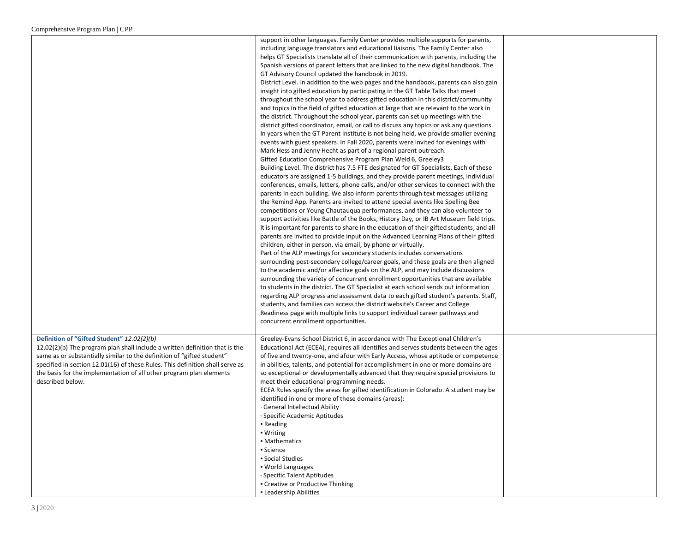|                                                                               | support in other languages. Family Center provides multiple supports for parents,                                                                                        |  |
|-------------------------------------------------------------------------------|--------------------------------------------------------------------------------------------------------------------------------------------------------------------------|--|
|                                                                               | including language translators and educational liaisons. The Family Center also                                                                                          |  |
|                                                                               | helps GT Specialists translate all of their communication with parents, including the                                                                                    |  |
|                                                                               | Spanish versions of parent letters that are linked to the new digital handbook. The                                                                                      |  |
|                                                                               | GT Advisory Council updated the handbook in 2019.                                                                                                                        |  |
|                                                                               | District Level. In addition to the web pages and the handbook, parents can also gain                                                                                     |  |
|                                                                               | insight into gifted education by participating in the GT Table Talks that meet                                                                                           |  |
|                                                                               | throughout the school year to address gifted education in this district/community                                                                                        |  |
|                                                                               | and topics in the field of gifted education at large that are relevant to the work in                                                                                    |  |
|                                                                               | the district. Throughout the school year, parents can set up meetings with the                                                                                           |  |
|                                                                               | district gifted coordinator, email, or call to discuss any topics or ask any questions.                                                                                  |  |
|                                                                               | In years when the GT Parent Institute is not being held, we provide smaller evening                                                                                      |  |
|                                                                               | events with guest speakers. In Fall 2020, parents were invited for evenings with                                                                                         |  |
|                                                                               | Mark Hess and Jenny Hecht as part of a regional parent outreach.                                                                                                         |  |
|                                                                               | Gifted Education Comprehensive Program Plan Weld 6, Greeley3                                                                                                             |  |
|                                                                               | Building Level. The district has 7.5 FTE designated for GT Specialists. Each of these                                                                                    |  |
|                                                                               | educators are assigned 1-5 buildings, and they provide parent meetings, individual                                                                                       |  |
|                                                                               | conferences, emails, letters, phone calls, and/or other services to connect with the<br>parents in each building. We also inform parents through text messages utilizing |  |
|                                                                               | the Remind App. Parents are invited to attend special events like Spelling Bee                                                                                           |  |
|                                                                               | competitions or Young Chautauqua performances, and they can also volunteer to                                                                                            |  |
|                                                                               | support activities like Battle of the Books, History Day, or IB Art Museum field trips.                                                                                  |  |
|                                                                               | It is important for parents to share in the education of their gifted students, and all                                                                                  |  |
|                                                                               | parents are invited to provide input on the Advanced Learning Plans of their gifted                                                                                      |  |
|                                                                               | children, either in person, via email, by phone or virtually.                                                                                                            |  |
|                                                                               | Part of the ALP meetings for secondary students includes conversations                                                                                                   |  |
|                                                                               | surrounding post-secondary college/career goals, and these goals are then aligned                                                                                        |  |
|                                                                               | to the academic and/or affective goals on the ALP, and may include discussions                                                                                           |  |
|                                                                               | surrounding the variety of concurrent enrollment opportunities that are available                                                                                        |  |
|                                                                               | to students in the district. The GT Specialist at each school sends out information                                                                                      |  |
|                                                                               | regarding ALP progress and assessment data to each gifted student's parents. Staff,                                                                                      |  |
|                                                                               | students, and families can access the district website's Career and College                                                                                              |  |
|                                                                               | Readiness page with multiple links to support individual career pathways and                                                                                             |  |
|                                                                               | concurrent enrollment opportunities.                                                                                                                                     |  |
| Definition of "Gifted Student" 12.02(2)(b)                                    | Greeley-Evans School District 6, in accordance with The Exceptional Children's                                                                                           |  |
| $12.02(2)(b)$ The program plan shall include a written definition that is the | Educational Act (ECEA), requires all identifies and serves students between the ages                                                                                     |  |
| same as or substantially similar to the definition of "gifted student"        | of five and twenty-one, and afour with Early Access, whose aptitude or competence                                                                                        |  |
| specified in section 12.01(16) of these Rules. This definition shall serve as | in abilities, talents, and potential for accomplishment in one or more domains are                                                                                       |  |
| the basis for the implementation of all other program plan elements           | so exceptional or developmentally advanced that they require special provisions to                                                                                       |  |
| described below.                                                              | meet their educational programming needs.                                                                                                                                |  |
|                                                                               | ECEA Rules specify the areas for gifted identification in Colorado. A student may be                                                                                     |  |
|                                                                               | identified in one or more of these domains (areas):                                                                                                                      |  |
|                                                                               | · General Intellectual Ability                                                                                                                                           |  |
|                                                                               | · Specific Academic Aptitudes                                                                                                                                            |  |
|                                                                               | • Reading                                                                                                                                                                |  |
|                                                                               | • Writing                                                                                                                                                                |  |
|                                                                               | • Mathematics                                                                                                                                                            |  |
|                                                                               | Science                                                                                                                                                                  |  |
|                                                                               | • Social Studies<br>. World Languages                                                                                                                                    |  |
|                                                                               | · Specific Talent Aptitudes                                                                                                                                              |  |
|                                                                               | • Creative or Productive Thinking                                                                                                                                        |  |
|                                                                               | • Leadership Abilities                                                                                                                                                   |  |
|                                                                               |                                                                                                                                                                          |  |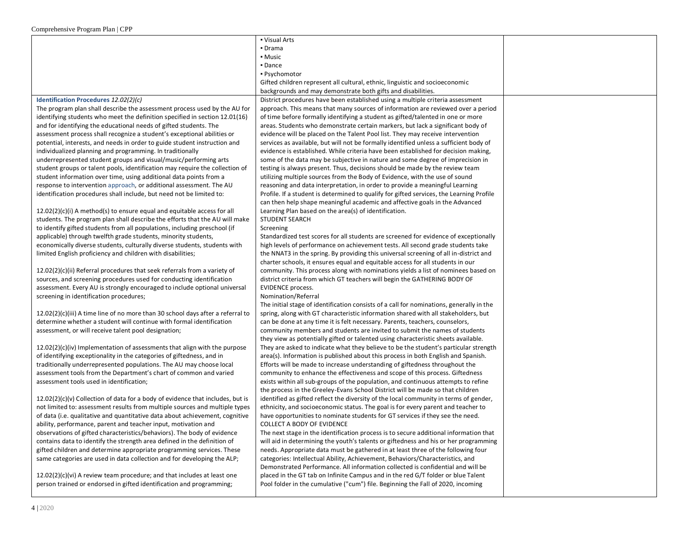|                                                                                   | • Visual Arts                                                                                                                                                           |  |
|-----------------------------------------------------------------------------------|-------------------------------------------------------------------------------------------------------------------------------------------------------------------------|--|
|                                                                                   | • Drama                                                                                                                                                                 |  |
|                                                                                   | • Music                                                                                                                                                                 |  |
|                                                                                   | - Dance                                                                                                                                                                 |  |
|                                                                                   | • Psychomotor                                                                                                                                                           |  |
|                                                                                   | Gifted children represent all cultural, ethnic, linguistic and socioeconomic                                                                                            |  |
|                                                                                   | backgrounds and may demonstrate both gifts and disabilities.                                                                                                            |  |
| Identification Procedures 12.02(2)(c)                                             | District procedures have been established using a multiple criteria assessment                                                                                          |  |
| The program plan shall describe the assessment process used by the AU for         | approach. This means that many sources of information are reviewed over a period                                                                                        |  |
| identifying students who meet the definition specified in section 12.01(16)       | of time before formally identifying a student as gifted/talented in one or more                                                                                         |  |
| and for identifying the educational needs of gifted students. The                 | areas. Students who demonstrate certain markers, but lack a significant body of                                                                                         |  |
| assessment process shall recognize a student's exceptional abilities or           | evidence will be placed on the Talent Pool list. They may receive intervention                                                                                          |  |
| potential, interests, and needs in order to guide student instruction and         | services as available, but will not be formally identified unless a sufficient body of                                                                                  |  |
| individualized planning and programming. In traditionally                         | evidence is established. While criteria have been established for decision making,                                                                                      |  |
| underrepresented student groups and visual/music/performing arts                  | some of the data may be subjective in nature and some degree of imprecision in                                                                                          |  |
| student groups or talent pools, identification may require the collection of      | testing is always present. Thus, decisions should be made by the review team                                                                                            |  |
| student information over time, using additional data points from a                | utilizing multiple sources from the Body of Evidence, with the use of sound                                                                                             |  |
| response to intervention approach, or additional assessment. The AU               | reasoning and data interpretation, in order to provide a meaningful Learning                                                                                            |  |
| identification procedures shall include, but need not be limited to:              | Profile. If a student is determined to qualify for gifted services, the Learning Profile                                                                                |  |
|                                                                                   | can then help shape meaningful academic and affective goals in the Advanced                                                                                             |  |
| 12.02(2)(c)(i) A method(s) to ensure equal and equitable access for all           | Learning Plan based on the area(s) of identification.                                                                                                                   |  |
| students. The program plan shall describe the efforts that the AU will make       | <b>STUDENT SEARCH</b>                                                                                                                                                   |  |
| to identify gifted students from all populations, including preschool (if         | Screening                                                                                                                                                               |  |
| applicable) through twelfth grade students, minority students,                    | Standardized test scores for all students are screened for evidence of exceptionally                                                                                    |  |
| economically diverse students, culturally diverse students, students with         | high levels of performance on achievement tests. All second grade students take                                                                                         |  |
| limited English proficiency and children with disabilities;                       | the NNAT3 in the spring. By providing this universal screening of all in-district and                                                                                   |  |
|                                                                                   | charter schools, it ensures equal and equitable access for all students in our                                                                                          |  |
| $12.02(2)(c)(ii)$ Referral procedures that seek referrals from a variety of       | community. This process along with nominations yields a list of nominees based on                                                                                       |  |
| sources, and screening procedures used for conducting identification              | district criteria from which GT teachers will begin the GATHERING BODY OF                                                                                               |  |
| assessment. Every AU is strongly encouraged to include optional universal         | <b>EVIDENCE process.</b>                                                                                                                                                |  |
| screening in identification procedures;                                           | Nomination/Referral                                                                                                                                                     |  |
|                                                                                   | The initial stage of identification consists of a call for nominations, generally in the                                                                                |  |
| $12.02(2)(c)(iii)$ A time line of no more than 30 school days after a referral to | spring, along with GT characteristic information shared with all stakeholders, but                                                                                      |  |
| determine whether a student will continue with formal identification              | can be done at any time it is felt necessary. Parents, teachers, counselors,                                                                                            |  |
| assessment, or will receive talent pool designation;                              | community members and students are invited to submit the names of students                                                                                              |  |
|                                                                                   | they view as potentially gifted or talented using characteristic sheets available.                                                                                      |  |
| $12.02(2)(c)(iv)$ Implementation of assessments that align with the purpose       | They are asked to indicate what they believe to be the student's particular strength                                                                                    |  |
| of identifying exceptionality in the categories of giftedness, and in             | area(s). Information is published about this process in both English and Spanish.                                                                                       |  |
| traditionally underrepresented populations. The AU may choose local               | Efforts will be made to increase understanding of giftedness throughout the                                                                                             |  |
| assessment tools from the Department's chart of common and varied                 | community to enhance the effectiveness and scope of this process. Giftedness                                                                                            |  |
| assessment tools used in identification;                                          | exists within all sub-groups of the population, and continuous attempts to refine                                                                                       |  |
| $12.02(2)(c)(v)$ Collection of data for a body of evidence that includes, but is  | the process in the Greeley-Evans School District will be made so that children<br>identified as gifted reflect the diversity of the local community in terms of gender, |  |
| not limited to: assessment results from multiple sources and multiple types       | ethnicity, and socioeconomic status. The goal is for every parent and teacher to                                                                                        |  |
| of data (i.e. qualitative and quantitative data about achievement, cognitive      | have opportunities to nominate students for GT services if they see the need.                                                                                           |  |
| ability, performance, parent and teacher input, motivation and                    | COLLECT A BODY OF EVIDENCE                                                                                                                                              |  |
| observations of gifted characteristics/behaviors). The body of evidence           | The next stage in the identification process is to secure additional information that                                                                                   |  |
| contains data to identify the strength area defined in the definition of          | will aid in determining the youth's talents or giftedness and his or her programming                                                                                    |  |
| gifted children and determine appropriate programming services. These             | needs. Appropriate data must be gathered in at least three of the following four                                                                                        |  |
| same categories are used in data collection and for developing the ALP;           | categories: Intellectual Ability, Achievement, Behaviors/Characteristics, and                                                                                           |  |
|                                                                                   | Demonstrated Performance. All information collected is confidential and will be                                                                                         |  |
| $12.02(2)(c)(vi)$ A review team procedure; and that includes at least one         | placed in the GT tab on Infinite Campus and in the red G/T folder or blue Talent                                                                                        |  |
| person trained or endorsed in gifted identification and programming;              | Pool folder in the cumulative ("cum") file. Beginning the Fall of 2020, incoming                                                                                        |  |
|                                                                                   |                                                                                                                                                                         |  |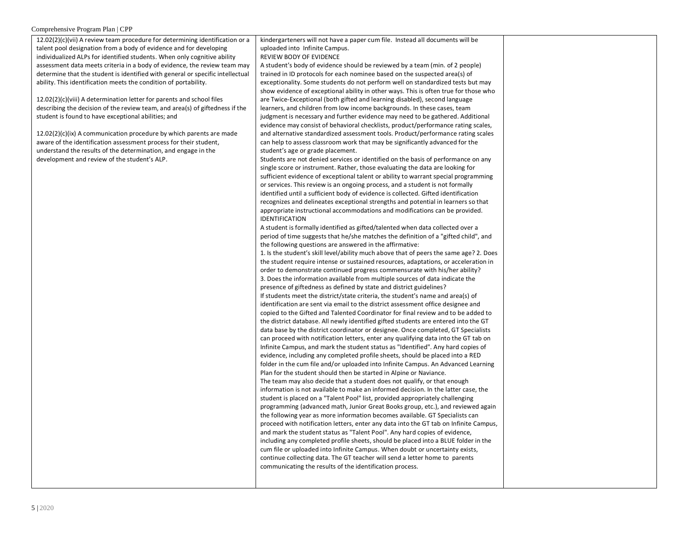12.02(2)(c)(vii) A review team procedure for determining identification or a talent pool designation from a body of evidence and for developing individualized ALPs for identified students. When only cognitive ability assessment data meets criteria in a body of evidence, the review team may determine that the student is identified with general or specific intellectual ability. This identification meets the condition of portability. 12.02(2)(c)(viii) A determination letter for parents and school files describing the decision of the review team, and area(s) of giftedness if the student is found to have exceptional abilities; and 12.02(2)(c)(ix) A communication procedure by which parents are made aware of the identification assessment process for their student, understand the results of the determination, and engage in the development and review of the student's ALP. kindergarteners will not have a paper cum file. Instead all documents will be uploaded into Infinite Campus. REVIEW BODY OF EVIDENCE A student's body of evidence should be reviewed by a team (min. of 2 people) trained in ID protocols for each nominee based on the suspected area(s) of exceptionality. Some students do not perform well on standardized tests but may show evidence of exceptional ability in other ways. This is often true for those who are Twice-Exceptional (both gifted and learning disabled), second language learners, and children from low income backgrounds. In these cases, team judgment is necessary and further evidence may need to be gathered. Additional evidence may consist of behavioral checklists, product/performance rating scales, and alternative standardized assessment tools. Product/performance rating scales can help to assess classroom work that may be significantly advanced for the student's age or grade placement. Students are not denied services or identified on the basis of performance on any single score or instrument. Rather, those evaluating the data are looking for sufficient evidence of exceptional talent or ability to warrant special programming or services. This review is an ongoing process, and a student is not formally identified until a sufficient body of evidence is collected. Gifted identification recognizes and delineates exceptional strengths and potential in learners so that appropriate instructional accommodations and modifications can be provided. IDENTIFICATION A student is formally identified as gifted/talented when data collected over a period of time suggests that he/she matches the definition of a "gifted child", and the following questions are answered in the affirmative: 1. Is the student's skill level/ability much above that of peers the same age? 2. Does the student require intense or sustained resources, adaptations, or acceleration in order to demonstrate continued progress commensurate with his/her ability? 3. Does the information available from multiple sources of data indicate the presence of giftedness as defined by state and district guidelines? If students meet the district/state criteria, the student's name and area(s) of identification are sent via email to the district assessment office designee and copied to the Gifted and Talented Coordinator for final review and to be added to the district database. All newly identified gifted students are entered into the GT data base by the district coordinator or designee. Once completed, GT Specialists can proceed with notification letters, enter any qualifying data into the GT tab on Infinite Campus, and mark the student status as "Identified". Any hard copies of evidence, including any completed profile sheets, should be placed into a RED folder in the cum file and/or uploaded into Infinite Campus. An Advanced Learning Plan for the student should then be started in Alpine or Naviance. The team may also decide that a student does not qualify, or that enough information is not available to make an informed decision. In the latter case, the student is placed on a "Talent Pool" list, provided appropriately challenging programming (advanced math, Junior Great Books group, etc.), and reviewed again the following year as more information becomes available. GT Specialists can proceed with notification letters, enter any data into the GT tab on Infinite Campus, and mark the student status as "Talent Pool". Any hard copies of evidence, including any completed profile sheets, should be placed into a BLUE folder in the cum file or uploaded into Infinite Campus. When doubt or uncertainty exists, continue collecting data. The GT teacher will send a letter home to parents communicating the results of the identification process.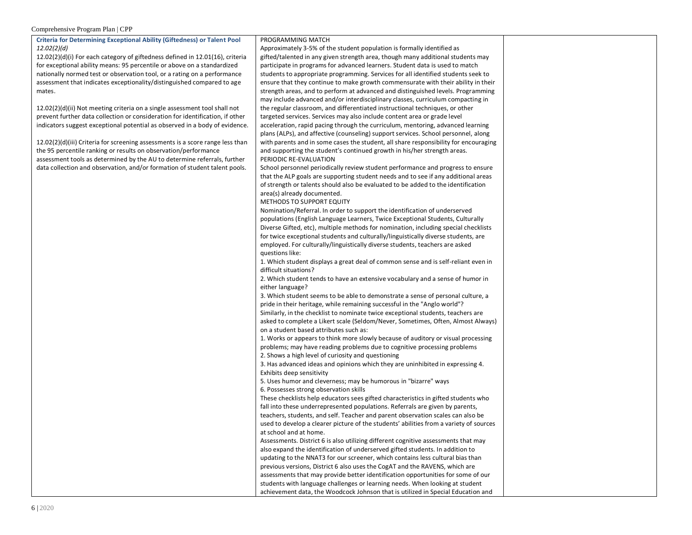| <b>Criteria for Determining Exceptional Ability (Giftedness) or Talent Pool</b>                                                                     | PROGRAMMING MATCH                                                                                                                                                     |  |
|-----------------------------------------------------------------------------------------------------------------------------------------------------|-----------------------------------------------------------------------------------------------------------------------------------------------------------------------|--|
| 12.02(2)(d)                                                                                                                                         | Approximately 3-5% of the student population is formally identified as                                                                                                |  |
| $12.02(2)(d)(i)$ For each category of giftedness defined in $12.01(16)$ , criteria                                                                  | gifted/talented in any given strength area, though many additional students may                                                                                       |  |
| for exceptional ability means: 95 percentile or above on a standardized                                                                             | participate in programs for advanced learners. Student data is used to match                                                                                          |  |
| nationally normed test or observation tool, or a rating on a performance                                                                            | students to appropriate programming. Services for all identified students seek to                                                                                     |  |
| assessment that indicates exceptionality/distinguished compared to age                                                                              | ensure that they continue to make growth commensurate with their ability in their                                                                                     |  |
| mates.                                                                                                                                              | strength areas, and to perform at advanced and distinguished levels. Programming                                                                                      |  |
|                                                                                                                                                     | may include advanced and/or interdisciplinary classes, curriculum compacting in                                                                                       |  |
| 12.02(2)(d)(ii) Not meeting criteria on a single assessment tool shall not                                                                          | the regular classroom, and differentiated instructional techniques, or other                                                                                          |  |
| prevent further data collection or consideration for identification, if other                                                                       | targeted services. Services may also include content area or grade level                                                                                              |  |
| indicators suggest exceptional potential as observed in a body of evidence.                                                                         | acceleration, rapid pacing through the curriculum, mentoring, advanced learning<br>plans (ALPs), and affective (counseling) support services. School personnel, along |  |
|                                                                                                                                                     | with parents and in some cases the student, all share responsibility for encouraging                                                                                  |  |
| $12.02(2)(d)(iii)$ Criteria for screening assessments is a score range less than<br>the 95 percentile ranking or results on observation/performance | and supporting the student's continued growth in his/her strength areas.                                                                                              |  |
| assessment tools as determined by the AU to determine referrals, further                                                                            | PERIODIC RE-EVALUATION                                                                                                                                                |  |
| data collection and observation, and/or formation of student talent pools.                                                                          | School personnel periodically review student performance and progress to ensure                                                                                       |  |
|                                                                                                                                                     | that the ALP goals are supporting student needs and to see if any additional areas                                                                                    |  |
|                                                                                                                                                     | of strength or talents should also be evaluated to be added to the identification                                                                                     |  |
|                                                                                                                                                     | area(s) already documented.                                                                                                                                           |  |
|                                                                                                                                                     | METHODS TO SUPPORT EQUITY                                                                                                                                             |  |
|                                                                                                                                                     | Nomination/Referral. In order to support the identification of underserved                                                                                            |  |
|                                                                                                                                                     | populations (English Language Learners, Twice Exceptional Students, Culturally                                                                                        |  |
|                                                                                                                                                     | Diverse Gifted, etc), multiple methods for nomination, including special checklists                                                                                   |  |
|                                                                                                                                                     | for twice exceptional students and culturally/linguistically diverse students, are                                                                                    |  |
|                                                                                                                                                     | employed. For culturally/linguistically diverse students, teachers are asked                                                                                          |  |
|                                                                                                                                                     | questions like:                                                                                                                                                       |  |
|                                                                                                                                                     | 1. Which student displays a great deal of common sense and is self-reliant even in                                                                                    |  |
|                                                                                                                                                     | difficult situations?                                                                                                                                                 |  |
|                                                                                                                                                     | 2. Which student tends to have an extensive vocabulary and a sense of humor in                                                                                        |  |
|                                                                                                                                                     | either language?                                                                                                                                                      |  |
|                                                                                                                                                     | 3. Which student seems to be able to demonstrate a sense of personal culture, a                                                                                       |  |
|                                                                                                                                                     | pride in their heritage, while remaining successful in the "Anglo world"?                                                                                             |  |
|                                                                                                                                                     | Similarly, in the checklist to nominate twice exceptional students, teachers are                                                                                      |  |
|                                                                                                                                                     | asked to complete a Likert scale (Seldom/Never, Sometimes, Often, Almost Always)                                                                                      |  |
|                                                                                                                                                     | on a student based attributes such as:                                                                                                                                |  |
|                                                                                                                                                     | 1. Works or appears to think more slowly because of auditory or visual processing                                                                                     |  |
|                                                                                                                                                     | problems; may have reading problems due to cognitive processing problems                                                                                              |  |
|                                                                                                                                                     | 2. Shows a high level of curiosity and questioning                                                                                                                    |  |
|                                                                                                                                                     | 3. Has advanced ideas and opinions which they are uninhibited in expressing 4.                                                                                        |  |
|                                                                                                                                                     | Exhibits deep sensitivity                                                                                                                                             |  |
|                                                                                                                                                     | 5. Uses humor and cleverness; may be humorous in "bizarre" ways                                                                                                       |  |
|                                                                                                                                                     | 6. Possesses strong observation skills                                                                                                                                |  |
|                                                                                                                                                     | These checklists help educators sees gifted characteristics in gifted students who                                                                                    |  |
|                                                                                                                                                     | fall into these underrepresented populations. Referrals are given by parents,                                                                                         |  |
|                                                                                                                                                     | teachers, students, and self. Teacher and parent observation scales can also be                                                                                       |  |
|                                                                                                                                                     | used to develop a clearer picture of the students' abilities from a variety of sources<br>at school and at home.                                                      |  |
|                                                                                                                                                     | Assessments. District 6 is also utilizing different cognitive assessments that may                                                                                    |  |
|                                                                                                                                                     | also expand the identification of underserved gifted students. In addition to                                                                                         |  |
|                                                                                                                                                     | updating to the NNAT3 for our screener, which contains less cultural bias than                                                                                        |  |
|                                                                                                                                                     |                                                                                                                                                                       |  |
|                                                                                                                                                     |                                                                                                                                                                       |  |
|                                                                                                                                                     | previous versions, District 6 also uses the CogAT and the RAVENS, which are                                                                                           |  |
|                                                                                                                                                     | assessments that may provide better identification opportunities for some of our<br>students with language challenges or learning needs. When looking at student      |  |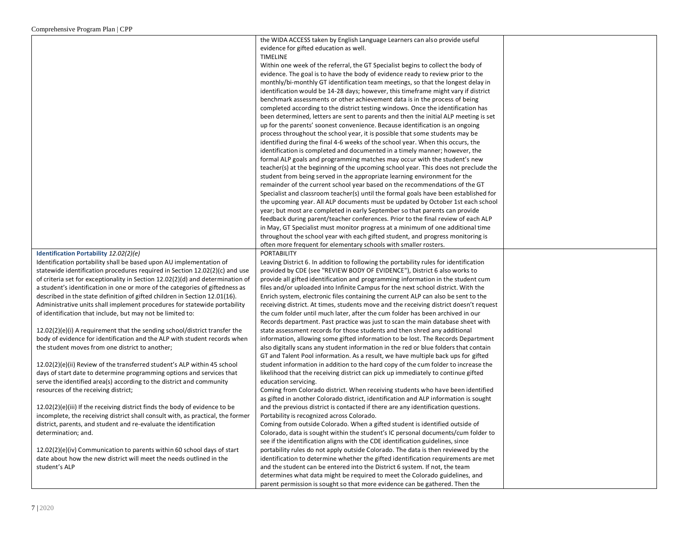|                                                                                 | the WIDA ACCESS taken by English Language Learners can also provide useful             |  |
|---------------------------------------------------------------------------------|----------------------------------------------------------------------------------------|--|
|                                                                                 | evidence for gifted education as well.                                                 |  |
|                                                                                 | <b>TIMELINE</b>                                                                        |  |
|                                                                                 | Within one week of the referral, the GT Specialist begins to collect the body of       |  |
|                                                                                 | evidence. The goal is to have the body of evidence ready to review prior to the        |  |
|                                                                                 | monthly/bi-monthly GT identification team meetings, so that the longest delay in       |  |
|                                                                                 | identification would be 14-28 days; however, this timeframe might vary if district     |  |
|                                                                                 | benchmark assessments or other achievement data is in the process of being             |  |
|                                                                                 | completed according to the district testing windows. Once the identification has       |  |
|                                                                                 | been determined, letters are sent to parents and then the initial ALP meeting is set   |  |
|                                                                                 | up for the parents' soonest convenience. Because identification is an ongoing          |  |
|                                                                                 | process throughout the school year, it is possible that some students may be           |  |
|                                                                                 | identified during the final 4-6 weeks of the school year. When this occurs, the        |  |
|                                                                                 | identification is completed and documented in a timely manner; however, the            |  |
|                                                                                 | formal ALP goals and programming matches may occur with the student's new              |  |
|                                                                                 | teacher(s) at the beginning of the upcoming school year. This does not preclude the    |  |
|                                                                                 | student from being served in the appropriate learning environment for the              |  |
|                                                                                 | remainder of the current school year based on the recommendations of the GT            |  |
|                                                                                 | Specialist and classroom teacher(s) until the formal goals have been established for   |  |
|                                                                                 | the upcoming year. All ALP documents must be updated by October 1st each school        |  |
|                                                                                 | year; but most are completed in early September so that parents can provide            |  |
|                                                                                 | feedback during parent/teacher conferences. Prior to the final review of each ALP      |  |
|                                                                                 |                                                                                        |  |
|                                                                                 | in May, GT Specialist must monitor progress at a minimum of one additional time        |  |
|                                                                                 | throughout the school year with each gifted student, and progress monitoring is        |  |
|                                                                                 | often more frequent for elementary schools with smaller rosters.                       |  |
| Identification Portability 12.02(2)(e)                                          | <b>PORTABILITY</b>                                                                     |  |
| Identification portability shall be based upon AU implementation of             | Leaving District 6. In addition to following the portability rules for identification  |  |
| statewide identification procedures required in Section 12.02(2)(c) and use     | provided by CDE (see "REVIEW BODY OF EVIDENCE"), District 6 also works to              |  |
| of criteria set for exceptionality in Section 12.02(2)(d) and determination of  | provide all gifted identification and programming information in the student cum       |  |
| a student's identification in one or more of the categories of giftedness as    | files and/or uploaded into Infinite Campus for the next school district. With the      |  |
| described in the state definition of gifted children in Section 12.01(16).      | Enrich system, electronic files containing the current ALP can also be sent to the     |  |
| Administrative units shall implement procedures for statewide portability       | receiving district. At times, students move and the receiving district doesn't request |  |
| of identification that include, but may not be limited to:                      | the cum folder until much later, after the cum folder has been archived in our         |  |
|                                                                                 | Records department. Past practice was just to scan the main database sheet with        |  |
| $12.02(2)(e)(i)$ A requirement that the sending school/district transfer the    | state assessment records for those students and then shred any additional              |  |
| body of evidence for identification and the ALP with student records when       | information, allowing some gifted information to be lost. The Records Department       |  |
| the student moves from one district to another;                                 | also digitally scans any student information in the red or blue folders that contain   |  |
|                                                                                 | GT and Talent Pool information. As a result, we have multiple back ups for gifted      |  |
| 12.02(2)(e)(ii) Review of the transferred student's ALP within 45 school        | student information in addition to the hard copy of the cum folder to increase the     |  |
| days of start date to determine programming options and services that           | likelihood that the receiving district can pick up immediately to continue gifted      |  |
| serve the identified area(s) according to the district and community            | education servicing.                                                                   |  |
| resources of the receiving district;                                            | Coming from Colorado district. When receiving students who have been identified        |  |
|                                                                                 | as gifted in another Colorado district, identification and ALP information is sought   |  |
| $12.02(2)(e)(iii)$ If the receiving district finds the body of evidence to be   | and the previous district is contacted if there are any identification questions.      |  |
| incomplete, the receiving district shall consult with, as practical, the former | Portability is recognized across Colorado.                                             |  |
| district, parents, and student and re-evaluate the identification               | Coming from outside Colorado. When a gifted student is identified outside of           |  |
| determination; and.                                                             | Colorado, data is sought within the student's IC personal documents/cum folder to      |  |
|                                                                                 | see if the identification aligns with the CDE identification guidelines, since         |  |
| 12.02(2)(e)(iv) Communication to parents within 60 school days of start         | portability rules do not apply outside Colorado. The data is then reviewed by the      |  |
| date about how the new district will meet the needs outlined in the             | identification to determine whether the gifted identification requirements are met     |  |
| student's ALP                                                                   | and the student can be entered into the District 6 system. If not, the team            |  |
|                                                                                 | determines what data might be required to meet the Colorado guidelines, and            |  |
|                                                                                 | parent permission is sought so that more evidence can be gathered. Then the            |  |
|                                                                                 |                                                                                        |  |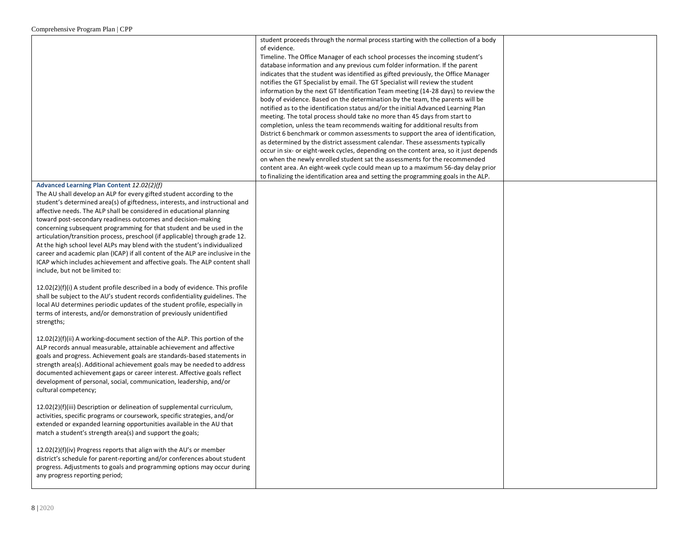|                                                                                                                                                                                                                                                                                                                                                                                                                                                                                                                                                                                                                                                                                                                                                                                      | student proceeds through the normal process starting with the collection of a body<br>of evidence.<br>Timeline. The Office Manager of each school processes the incoming student's<br>database information and any previous cum folder information. If the parent<br>indicates that the student was identified as gifted previously, the Office Manager<br>notifies the GT Specialist by email. The GT Specialist will review the student<br>information by the next GT Identification Team meeting (14-28 days) to review the<br>body of evidence. Based on the determination by the team, the parents will be<br>notified as to the identification status and/or the initial Advanced Learning Plan<br>meeting. The total process should take no more than 45 days from start to<br>completion, unless the team recommends waiting for additional results from<br>District 6 benchmark or common assessments to support the area of identification,<br>as determined by the district assessment calendar. These assessments typically<br>occur in six- or eight-week cycles, depending on the content area, so it just depends<br>on when the newly enrolled student sat the assessments for the recommended<br>content area. An eight-week cycle could mean up to a maximum 56-day delay prior<br>to finalizing the identification area and setting the programming goals in the ALP. |  |
|--------------------------------------------------------------------------------------------------------------------------------------------------------------------------------------------------------------------------------------------------------------------------------------------------------------------------------------------------------------------------------------------------------------------------------------------------------------------------------------------------------------------------------------------------------------------------------------------------------------------------------------------------------------------------------------------------------------------------------------------------------------------------------------|------------------------------------------------------------------------------------------------------------------------------------------------------------------------------------------------------------------------------------------------------------------------------------------------------------------------------------------------------------------------------------------------------------------------------------------------------------------------------------------------------------------------------------------------------------------------------------------------------------------------------------------------------------------------------------------------------------------------------------------------------------------------------------------------------------------------------------------------------------------------------------------------------------------------------------------------------------------------------------------------------------------------------------------------------------------------------------------------------------------------------------------------------------------------------------------------------------------------------------------------------------------------------------------------------------------------------------------------------------------------------------------|--|
| Advanced Learning Plan Content 12.02(2)(f)<br>The AU shall develop an ALP for every gifted student according to the<br>student's determined area(s) of giftedness, interests, and instructional and<br>affective needs. The ALP shall be considered in educational planning<br>toward post-secondary readiness outcomes and decision-making<br>concerning subsequent programming for that student and be used in the<br>articulation/transition process, preschool (if applicable) through grade 12.<br>At the high school level ALPs may blend with the student's individualized<br>career and academic plan (ICAP) if all content of the ALP are inclusive in the<br>ICAP which includes achievement and affective goals. The ALP content shall<br>include, but not be limited to: |                                                                                                                                                                                                                                                                                                                                                                                                                                                                                                                                                                                                                                                                                                                                                                                                                                                                                                                                                                                                                                                                                                                                                                                                                                                                                                                                                                                          |  |
| $12.02(2)(f)(i)$ A student profile described in a body of evidence. This profile<br>shall be subject to the AU's student records confidentiality guidelines. The<br>local AU determines periodic updates of the student profile, especially in<br>terms of interests, and/or demonstration of previously unidentified<br>strengths;                                                                                                                                                                                                                                                                                                                                                                                                                                                  |                                                                                                                                                                                                                                                                                                                                                                                                                                                                                                                                                                                                                                                                                                                                                                                                                                                                                                                                                                                                                                                                                                                                                                                                                                                                                                                                                                                          |  |
| 12.02(2)(f)(ii) A working-document section of the ALP. This portion of the<br>ALP records annual measurable, attainable achievement and affective<br>goals and progress. Achievement goals are standards-based statements in<br>strength area(s). Additional achievement goals may be needed to address<br>documented achievement gaps or career interest. Affective goals reflect<br>development of personal, social, communication, leadership, and/or<br>cultural competency;                                                                                                                                                                                                                                                                                                     |                                                                                                                                                                                                                                                                                                                                                                                                                                                                                                                                                                                                                                                                                                                                                                                                                                                                                                                                                                                                                                                                                                                                                                                                                                                                                                                                                                                          |  |
| 12.02(2)(f)(iii) Description or delineation of supplemental curriculum,<br>activities, specific programs or coursework, specific strategies, and/or<br>extended or expanded learning opportunities available in the AU that<br>match a student's strength area(s) and support the goals;                                                                                                                                                                                                                                                                                                                                                                                                                                                                                             |                                                                                                                                                                                                                                                                                                                                                                                                                                                                                                                                                                                                                                                                                                                                                                                                                                                                                                                                                                                                                                                                                                                                                                                                                                                                                                                                                                                          |  |
| 12.02(2)(f)(iv) Progress reports that align with the AU's or member<br>district's schedule for parent-reporting and/or conferences about student<br>progress. Adjustments to goals and programming options may occur during<br>any progress reporting period;                                                                                                                                                                                                                                                                                                                                                                                                                                                                                                                        |                                                                                                                                                                                                                                                                                                                                                                                                                                                                                                                                                                                                                                                                                                                                                                                                                                                                                                                                                                                                                                                                                                                                                                                                                                                                                                                                                                                          |  |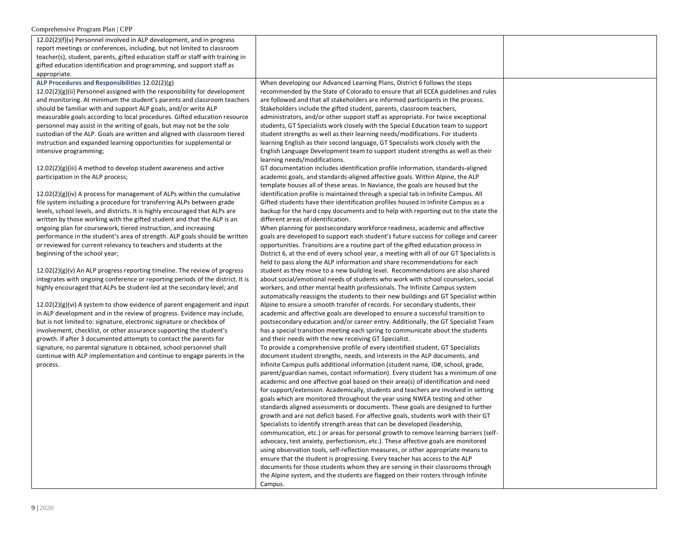| 12.02(2)(f)(v) Personnel involved in ALP development, and in progress          |                                                                                                                                                                    |  |
|--------------------------------------------------------------------------------|--------------------------------------------------------------------------------------------------------------------------------------------------------------------|--|
| report meetings or conferences, including, but not limited to classroom        |                                                                                                                                                                    |  |
| teacher(s), student, parents, gifted education staff or staff with training in |                                                                                                                                                                    |  |
| gifted education identification and programming, and support staff as          |                                                                                                                                                                    |  |
| appropriate.                                                                   |                                                                                                                                                                    |  |
| ALP Procedures and Responsibilities 12.02(2)(g)                                | When developing our Advanced Learning Plans, District 6 follows the steps                                                                                          |  |
| $12.02(2)(g)(ii)$ Personnel assigned with the responsibility for development   | recommended by the State of Colorado to ensure that all ECEA guidelines and rules                                                                                  |  |
| and monitoring. At minimum the student's parents and classroom teachers        | are followed and that all stakeholders are informed participants in the process.                                                                                   |  |
| should be familiar with and support ALP goals, and/or write ALP                | Stakeholders include the gifted student, parents, classroom teachers,                                                                                              |  |
| measurable goals according to local procedures. Gifted education resource      | administrators, and/or other support staff as appropriate. For twice exceptional                                                                                   |  |
| personnel may assist in the writing of goals, but may not be the sole          | students, GT Specialists work closely with the Special Education team to support                                                                                   |  |
| custodian of the ALP. Goals are written and aligned with classroom tiered      | student strengths as well as their learning needs/modifications. For students                                                                                      |  |
| instruction and expanded learning opportunities for supplemental or            | learning English as their second language, GT Specialists work closely with the                                                                                    |  |
| intensive programming;                                                         | English Language Development team to support student strengths as well as their<br>learning needs/modifications.                                                   |  |
| $12.02(2)(g)(iii)$ A method to develop student awareness and active            | GT documentation includes identification profile information, standards-aligned                                                                                    |  |
| participation in the ALP process;                                              | academic goals, and standards-aligned affective goals. Within Alpine, the ALP                                                                                      |  |
|                                                                                | template houses all of these areas. In Naviance, the goals are housed but the                                                                                      |  |
| $12.02(2)(g)(iv)$ A process for management of ALPs within the cumulative       | identification profile is maintained through a special tab in Infinite Campus. All                                                                                 |  |
| file system including a procedure for transferring ALPs between grade          | Gifted students have their identification profiles housed in Infinite Campus as a                                                                                  |  |
| levels, school levels, and districts. It is highly encouraged that ALPs are    | backup for the hard copy documents and to help with reporting out to the state the                                                                                 |  |
| written by those working with the gifted student and that the ALP is an        | different areas of identification.                                                                                                                                 |  |
| ongoing plan for coursework, tiered instruction, and increasing                | When planning for postsecondary workforce readiness, academic and affective                                                                                        |  |
| performance in the student's area of strength. ALP goals should be written     | goals are developed to support each student's future success for college and career                                                                                |  |
| or reviewed for current relevancy to teachers and students at the              | opportunities. Transitions are a routine part of the gifted education process in                                                                                   |  |
| beginning of the school year;                                                  | District 6, at the end of every school year, a meeting with all of our GT Specialists is                                                                           |  |
|                                                                                | held to pass along the ALP information and share recommendations for each                                                                                          |  |
| $12.02(2)(g)(v)$ An ALP progress reporting timeline. The review of progress    | student as they move to a new building level. Recommendations are also shared                                                                                      |  |
| integrates with ongoing conference or reporting periods of the district. It is | about social/emotional needs of students who work with school counselors, social                                                                                   |  |
| highly encouraged that ALPs be student-led at the secondary level; and         | workers, and other mental health professionals. The Infinite Campus system<br>automatically reassigns the students to their new buildings and GT Specialist within |  |
| $12.02(2)(g)(vi)$ A system to show evidence of parent engagement and input     | Alpine to ensure a smooth transfer of records. For secondary students, their                                                                                       |  |
| in ALP development and in the review of progress. Evidence may include,        | academic and affective goals are developed to ensure a successful transition to                                                                                    |  |
| but is not limited to: signature, electronic signature or checkbox of          | postsecondary education and/or career entry. Additionally, the GT Specialist Team                                                                                  |  |
| involvement, checklist, or other assurance supporting the student's            | has a special transition meeting each spring to communicate about the students                                                                                     |  |
| growth. If after 3 documented attempts to contact the parents for              | and their needs with the new receiving GT Specialist.                                                                                                              |  |
| signature, no parental signature is obtained, school personnel shall           | To provide a comprehensive profile of every identified student, GT Specialists                                                                                     |  |
| continue with ALP implementation and continue to engage parents in the         | document student strengths, needs, and interests in the ALP documents, and                                                                                         |  |
| process.                                                                       | Infinite Campus pulls additional information (student name, ID#, school, grade,                                                                                    |  |
|                                                                                | parent/guardian names, contact information). Every student has a minimum of one                                                                                    |  |
|                                                                                | academic and one affective goal based on their area(s) of identification and need                                                                                  |  |
|                                                                                | for support/extension. Academically, students and teachers are involved in setting                                                                                 |  |
|                                                                                | goals which are monitored throughout the year using NWEA testing and other                                                                                         |  |
|                                                                                | standards aligned assessments or documents. These goals are designed to further                                                                                    |  |
|                                                                                | growth and are not deficit based. For affective goals, students work with their GT                                                                                 |  |
|                                                                                | Specialists to identify strength areas that can be developed (leadership,                                                                                          |  |
|                                                                                | communication, etc.) or areas for personal growth to remove learning barriers (self-                                                                               |  |
|                                                                                | advocacy, test anxiety, perfectionism, etc.). These affective goals are monitored                                                                                  |  |
|                                                                                | using observation tools, self-reflection measures, or other appropriate means to                                                                                   |  |
|                                                                                | ensure that the student is progressing. Every teacher has access to the ALP                                                                                        |  |
|                                                                                | documents for those students whom they are serving in their classrooms through                                                                                     |  |
|                                                                                | the Alpine system, and the students are flagged on their rosters through Infinite                                                                                  |  |
|                                                                                | Campus.                                                                                                                                                            |  |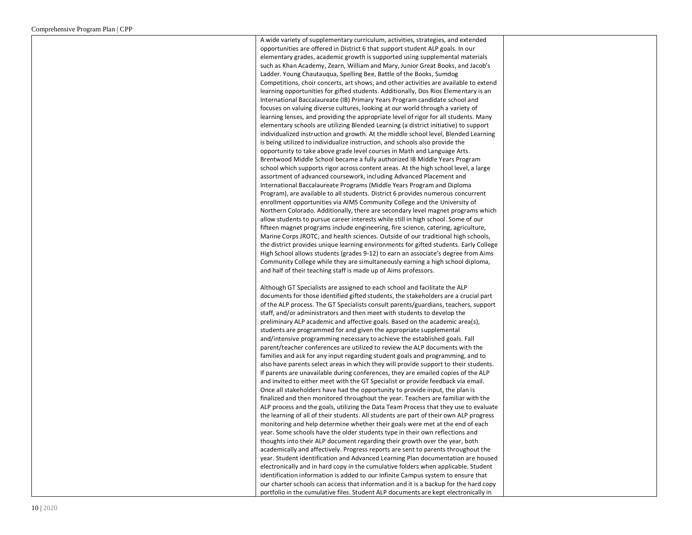A wide variety of supplementary curriculum, activities, strategies, and extended opportunities are offered in District 6 that support student ALP goals. In our elementary grades, academic growth is supported using supplemental materials such as Khan Academy, Zearn, William and Mary, Junior Great Books, and Jacob's Ladder. Young Chautauqua, Spelling Bee, Battle of the Books, Sumdog Competitions, choir concerts, art shows, and other activities are available to extend learning opportunities for gifted students. Additionally, Dos Rios Elementary is an International Baccalaureate (IB) Primary Years Program candidate school and focuses on valuing diverse cultures, looking at our world through a variety of learning lenses, and providing the appropriate level of rigor for all students. Many elementary schools are utilizing Blended Learning (a district initiative) to support individualized instruction and growth. At the middle school level, Blended Learning is being utilized to individualize instruction, and schools also provide the opportunity to take above grade level courses in Math and Language Arts. Brentwood Middle School became a fully authorized IB Middle Years Program school which supports rigor across content areas. At the high school level, a large assortment of advanced coursework, including Advanced Placement and International Baccalaureate Programs (Middle Years Program and Diploma Program), are available to all students. District 6 provides numerous concurrent enrollment opportunities via AIMS Community College and the University of Northern Colorado. Additionally, there are secondary level magnet programs which allow students to pursue career interests while still in high school. Some of our fifteen magnet programs include engineering, fire science, catering, agriculture, Marine Corps JROTC, and health sciences. Outside of our traditional high schools, the district provides unique learning environments for gifted students. Early College High School allows students (grades 9-12) to earn an associate's degree from Aims Community College while they are simultaneously earning a high school diploma, and half of their teaching staff is made up of Aims professors.

Although GT Specialists are assigned to each school and facilitate the ALP documents for those identified gifted students, the stakeholders are a crucial part of the ALP process. The GT Specialists consult parents/guardians, teachers, support staff, and/or administrators and then meet with students to develop the preliminary ALP academic and affective goals. Based on the academic area(s), students are programmed for and given the appropriate supplemental and/intensive programming necessary to achieve the established goals. Fall parent/teacher conferences are utilized to review the ALP documents with the families and ask for any input regarding student goals and programming, and to also have parents select areas in which they will provide support to their students. If parents are unavailable during conferences, they are emailed copies of the ALP and invited to either meet with the GT Specialist or provide feedback via email. Once all stakeholders have had the opportunity to provide input, the plan is finalized and then monitored throughout the year. Teachers are familiar with the ALP process and the goals, utilizing the Data Team Process that they use to evaluate the learning of all of their students. All students are part of their own ALP progress monitoring and help determine whether their goals were met at the end of each year. Some schools have the older students type in their own reflections and thoughts into their ALP document regarding their growth over the year, both academically and affectively. Progress reports are sent to parents throughout the year. Student identification and Advanced Learning Plan documentation are housed electronically and in hard copy in the cumulative folders when applicable. Student identification information is added to our Infinite Campus system to ensure that our charter schools can access that information and it is a backup for the hard copy portfolio in the cumulative files. Student ALP documents are kept electronically in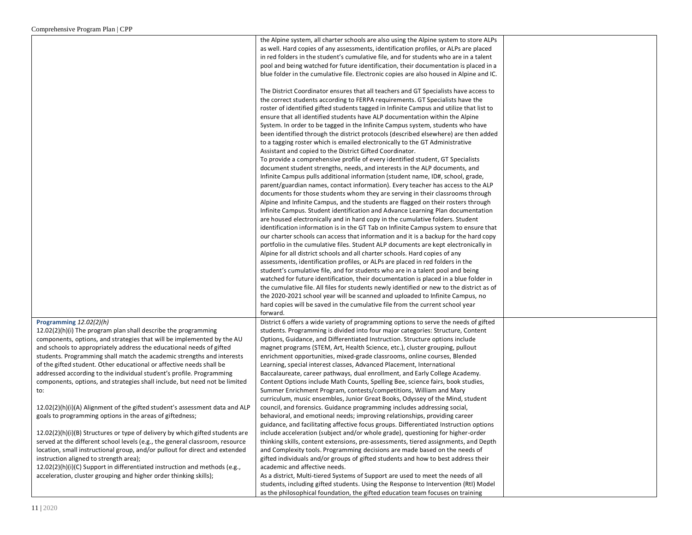|                                                                               | the Alpine system, all charter schools are also using the Alpine system to store ALPs     |  |
|-------------------------------------------------------------------------------|-------------------------------------------------------------------------------------------|--|
|                                                                               | as well. Hard copies of any assessments, identification profiles, or ALPs are placed      |  |
|                                                                               | in red folders in the student's cumulative file, and for students who are in a talent     |  |
|                                                                               | pool and being watched for future identification, their documentation is placed in a      |  |
|                                                                               |                                                                                           |  |
|                                                                               | blue folder in the cumulative file. Electronic copies are also housed in Alpine and IC.   |  |
|                                                                               |                                                                                           |  |
|                                                                               | The District Coordinator ensures that all teachers and GT Specialists have access to      |  |
|                                                                               | the correct students according to FERPA requirements. GT Specialists have the             |  |
|                                                                               | roster of identified gifted students tagged in Infinite Campus and utilize that list to   |  |
|                                                                               | ensure that all identified students have ALP documentation within the Alpine              |  |
|                                                                               | System. In order to be tagged in the Infinite Campus system, students who have            |  |
|                                                                               |                                                                                           |  |
|                                                                               | been identified through the district protocols (described elsewhere) are then added       |  |
|                                                                               | to a tagging roster which is emailed electronically to the GT Administrative              |  |
|                                                                               | Assistant and copied to the District Gifted Coordinator.                                  |  |
|                                                                               | To provide a comprehensive profile of every identified student, GT Specialists            |  |
|                                                                               | document student strengths, needs, and interests in the ALP documents, and                |  |
|                                                                               | Infinite Campus pulls additional information (student name, ID#, school, grade,           |  |
|                                                                               | parent/guardian names, contact information). Every teacher has access to the ALP          |  |
|                                                                               | documents for those students whom they are serving in their classrooms through            |  |
|                                                                               |                                                                                           |  |
|                                                                               | Alpine and Infinite Campus, and the students are flagged on their rosters through         |  |
|                                                                               | Infinite Campus. Student identification and Advance Learning Plan documentation           |  |
|                                                                               | are housed electronically and in hard copy in the cumulative folders. Student             |  |
|                                                                               | identification information is in the GT Tab on Infinite Campus system to ensure that      |  |
|                                                                               | our charter schools can access that information and it is a backup for the hard copy      |  |
|                                                                               | portfolio in the cumulative files. Student ALP documents are kept electronically in       |  |
|                                                                               | Alpine for all district schools and all charter schools. Hard copies of any               |  |
|                                                                               | assessments, identification profiles, or ALPs are placed in red folders in the            |  |
|                                                                               | student's cumulative file, and for students who are in a talent pool and being            |  |
|                                                                               |                                                                                           |  |
|                                                                               | watched for future identification, their documentation is placed in a blue folder in      |  |
|                                                                               | the cumulative file. All files for students newly identified or new to the district as of |  |
|                                                                               | the 2020-2021 school year will be scanned and uploaded to Infinite Campus, no             |  |
|                                                                               | hard copies will be saved in the cumulative file from the current school year             |  |
|                                                                               | forward.                                                                                  |  |
| Programming $12.02(2)(h)$                                                     | District 6 offers a wide variety of programming options to serve the needs of gifted      |  |
| 12.02(2)(h)(i) The program plan shall describe the programming                | students. Programming is divided into four major categories: Structure, Content           |  |
| components, options, and strategies that will be implemented by the AU        | Options, Guidance, and Differentiated Instruction. Structure options include              |  |
| and schools to appropriately address the educational needs of gifted          | magnet programs (STEM, Art, Health Science, etc.), cluster grouping, pullout              |  |
|                                                                               |                                                                                           |  |
| students. Programming shall match the academic strengths and interests        | enrichment opportunities, mixed-grade classrooms, online courses, Blended                 |  |
| of the gifted student. Other educational or affective needs shall be          | Learning, special interest classes, Advanced Placement, International                     |  |
| addressed according to the individual student's profile. Programming          | Baccalaureate, career pathways, dual enrollment, and Early College Academy.               |  |
| components, options, and strategies shall include, but need not be limited    | Content Options include Math Counts, Spelling Bee, science fairs, book studies,           |  |
| to:                                                                           | Summer Enrichment Program, contests/competitions, William and Mary                        |  |
|                                                                               | curriculum, music ensembles, Junior Great Books, Odyssey of the Mind, student             |  |
| 12.02(2)(h)(i)(A) Alignment of the gifted student's assessment data and ALP   | council, and forensics. Guidance programming includes addressing social,                  |  |
| goals to programming options in the areas of giftedness;                      | behavioral, and emotional needs; improving relationships, providing career                |  |
|                                                                               | guidance, and facilitating affective focus groups. Differentiated Instruction options     |  |
| 12.02(2)(h)(i)(B) Structures or type of delivery by which gifted students are | include acceleration (subject and/or whole grade), questioning for higher-order           |  |
|                                                                               |                                                                                           |  |
| served at the different school levels (e.g., the general classroom, resource  | thinking skills, content extensions, pre-assessments, tiered assignments, and Depth       |  |
| location, small instructional group, and/or pullout for direct and extended   | and Complexity tools. Programming decisions are made based on the needs of                |  |
| instruction aligned to strength area);                                        | gifted individuals and/or groups of gifted students and how to best address their         |  |
| 12.02(2)(h)(i)(C) Support in differentiated instruction and methods (e.g.,    | academic and affective needs.                                                             |  |
| acceleration, cluster grouping and higher order thinking skills);             | As a district, Multi-tiered Systems of Support are used to meet the needs of all          |  |
|                                                                               | students, including gifted students. Using the Response to Intervention (RtI) Model       |  |
|                                                                               | as the philosophical foundation, the gifted education team focuses on training            |  |
|                                                                               |                                                                                           |  |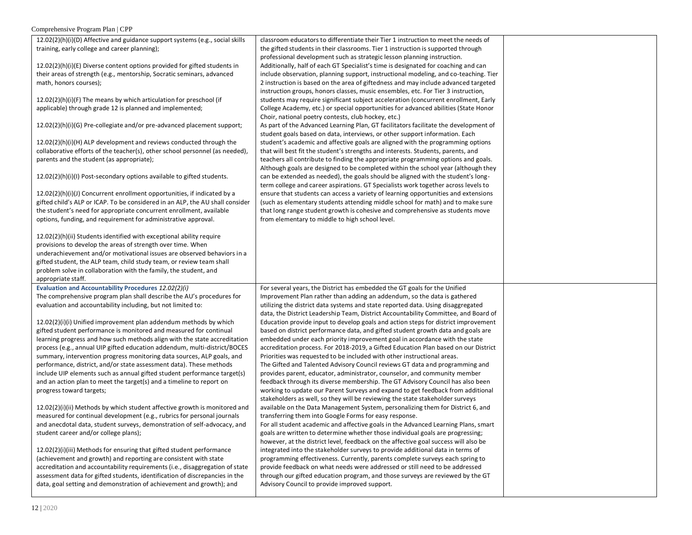| 12.02(2)(h)(i)(D) Affective and guidance support systems (e.g., social skills | classroom educators to differentiate their Tier 1 instruction to meet the needs of   |  |
|-------------------------------------------------------------------------------|--------------------------------------------------------------------------------------|--|
| training, early college and career planning);                                 | the gifted students in their classrooms. Tier 1 instruction is supported through     |  |
|                                                                               |                                                                                      |  |
|                                                                               | professional development such as strategic lesson planning instruction.              |  |
| $12.02(2)(h)(i)(E)$ Diverse content options provided for gifted students in   | Additionally, half of each GT Specialist's time is designated for coaching and can   |  |
| their areas of strength (e.g., mentorship, Socratic seminars, advanced        | include observation, planning support, instructional modeling, and co-teaching. Tier |  |
| math, honors courses);                                                        | 2 instruction is based on the area of giftedness and may include advanced targeted   |  |
|                                                                               | instruction groups, honors classes, music ensembles, etc. For Tier 3 instruction,    |  |
| 12.02(2)(h)(i)(F) The means by which articulation for preschool (if           | students may require significant subject acceleration (concurrent enrollment, Early  |  |
| applicable) through grade 12 is planned and implemented;                      | College Academy, etc.) or special opportunities for advanced abilities (State Honor  |  |
|                                                                               | Choir, national poetry contests, club hockey, etc.)                                  |  |
|                                                                               |                                                                                      |  |
| 12.02(2)(h)(i)(G) Pre-collegiate and/or pre-advanced placement support;       | As part of the Advanced Learning Plan, GT facilitators facilitate the development of |  |
|                                                                               | student goals based on data, interviews, or other support information. Each          |  |
| $12.02(2)(h)(i)(H)$ ALP development and reviews conducted through the         | student's academic and affective goals are aligned with the programming options      |  |
| collaborative efforts of the teacher(s), other school personnel (as needed),  | that will best fit the student's strengths and interests. Students, parents, and     |  |
| parents and the student (as appropriate);                                     | teachers all contribute to finding the appropriate programming options and goals.    |  |
|                                                                               | Although goals are designed to be completed within the school year (although they    |  |
| 12.02(2)(h)(i)(l) Post-secondary options available to gifted students.        | can be extended as needed), the goals should be aligned with the student's long-     |  |
|                                                                               | term college and career aspirations. GT Specialists work together across levels to   |  |
|                                                                               |                                                                                      |  |
| $12.02(2)(h)(i)(J)$ Concurrent enrollment opportunities, if indicated by a    | ensure that students can access a variety of learning opportunities and extensions   |  |
| gifted child's ALP or ICAP. To be considered in an ALP, the AU shall consider | (such as elementary students attending middle school for math) and to make sure      |  |
| the student's need for appropriate concurrent enrollment, available           | that long range student growth is cohesive and comprehensive as students move        |  |
| options, funding, and requirement for administrative approval.                | from elementary to middle to high school level.                                      |  |
|                                                                               |                                                                                      |  |
| 12.02(2)(h)(ii) Students identified with exceptional ability require          |                                                                                      |  |
| provisions to develop the areas of strength over time. When                   |                                                                                      |  |
| underachievement and/or motivational issues are observed behaviors in a       |                                                                                      |  |
|                                                                               |                                                                                      |  |
| gifted student, the ALP team, child study team, or review team shall          |                                                                                      |  |
|                                                                               |                                                                                      |  |
| problem solve in collaboration with the family, the student, and              |                                                                                      |  |
| appropriate staff.                                                            |                                                                                      |  |
| Evaluation and Accountability Procedures 12.02(2)(i)                          | For several years, the District has embedded the GT goals for the Unified            |  |
| The comprehensive program plan shall describe the AU's procedures for         | Improvement Plan rather than adding an addendum, so the data is gathered             |  |
|                                                                               |                                                                                      |  |
| evaluation and accountability including, but not limited to:                  | utilizing the district data systems and state reported data. Using disaggregated     |  |
|                                                                               | data, the District Leadership Team, District Accountability Committee, and Board of  |  |
| 12.02(2)(i)(i) Unified improvement plan addendum methods by which             | Education provide input to develop goals and action steps for district improvement   |  |
| gifted student performance is monitored and measured for continual            | based on district performance data, and gifted student growth data and goals are     |  |
| learning progress and how such methods align with the state accreditation     | embedded under each priority improvement goal in accordance with the state           |  |
| process (e.g., annual UIP gifted education addendum, multi-district/BOCES     | accreditation process. For 2018-2019, a Gifted Education Plan based on our District  |  |
| summary, intervention progress monitoring data sources, ALP goals, and        | Priorities was requested to be included with other instructional areas.              |  |
| performance, district, and/or state assessment data). These methods           | The Gifted and Talented Advisory Council reviews GT data and programming and         |  |
| include UIP elements such as annual gifted student performance target(s)      | provides parent, educator, administrator, counselor, and community member            |  |
|                                                                               |                                                                                      |  |
| and an action plan to meet the target(s) and a timeline to report on          | feedback through its diverse membership. The GT Advisory Council has also been       |  |
| progress toward targets;                                                      | working to update our Parent Surveys and expand to get feedback from additional      |  |
|                                                                               | stakeholders as well, so they will be reviewing the state stakeholder surveys        |  |
| $12.02(2)(i)(ii)$ Methods by which student affective growth is monitored and  | available on the Data Management System, personalizing them for District 6, and      |  |
| measured for continual development (e.g., rubrics for personal journals       | transferring them into Google Forms for easy response.                               |  |
| and anecdotal data, student surveys, demonstration of self-advocacy, and      | For all student academic and affective goals in the Advanced Learning Plans, smart   |  |
| student career and/or college plans);                                         | goals are written to determine whether those individual goals are progressing;       |  |
|                                                                               | however, at the district level, feedback on the affective goal success will also be  |  |
| 12.02(2)(i)(iii) Methods for ensuring that gifted student performance         | integrated into the stakeholder surveys to provide additional data in terms of       |  |
|                                                                               |                                                                                      |  |
| (achievement and growth) and reporting are consistent with state              | programming effectiveness. Currently, parents complete surveys each spring to        |  |
| accreditation and accountability requirements (i.e., disaggregation of state  | provide feedback on what needs were addressed or still need to be addressed          |  |
| assessment data for gifted students, identification of discrepancies in the   | through our gifted education program, and those surveys are reviewed by the GT       |  |
| data, goal setting and demonstration of achievement and growth); and          | Advisory Council to provide improved support.                                        |  |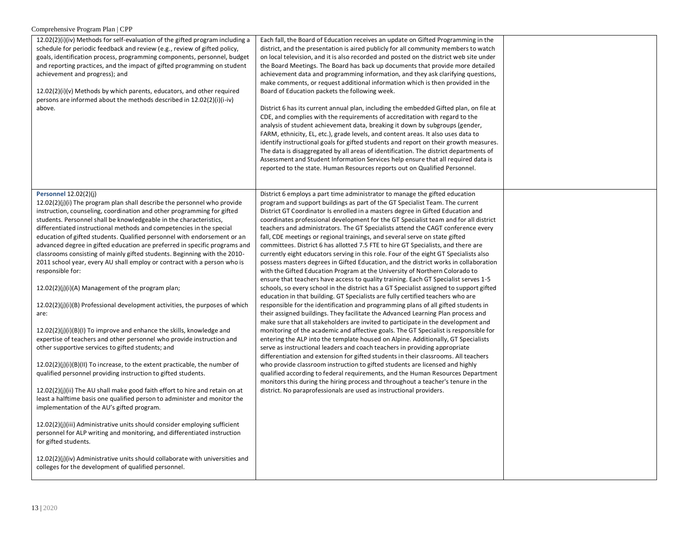| 12.02(2)(i)(iv) Methods for self-evaluation of the gifted program including a<br>schedule for periodic feedback and review (e.g., review of gifted policy,<br>goals, identification process, programming components, personnel, budget<br>and reporting practices, and the impact of gifted programming on student<br>achievement and progress); and<br>12.02(2)(i)(v) Methods by which parents, educators, and other required<br>persons are informed about the methods described in 12.02(2)(i)(i-iv)<br>above.                                                                                                                                                                                                                                                                                                                                                                                                                                                                                                                                                                                                                                                                                                                                                                                                                                                                                                                                                                                                                                                                                                                                                                                                       | Each fall, the Board of Education receives an update on Gifted Programming in the<br>district, and the presentation is aired publicly for all community members to watch<br>on local television, and it is also recorded and posted on the district web site under<br>the Board Meetings. The Board has back up documents that provide more detailed<br>achievement data and programming information, and they ask clarifying questions,<br>make comments, or request additional information which is then provided in the<br>Board of Education packets the following week.<br>District 6 has its current annual plan, including the embedded Gifted plan, on file at<br>CDE, and complies with the requirements of accreditation with regard to the<br>analysis of student achievement data, breaking it down by subgroups (gender,<br>FARM, ethnicity, EL, etc.), grade levels, and content areas. It also uses data to<br>identify instructional goals for gifted students and report on their growth measures.<br>The data is disaggregated by all areas of identification. The district departments of<br>Assessment and Student Information Services help ensure that all required data is<br>reported to the state. Human Resources reports out on Qualified Personnel.                                                                                                                                                                                                                                                                                                                                                                                                                                                                                                                                                                                                                                                                                                                                                                                                    |  |
|-------------------------------------------------------------------------------------------------------------------------------------------------------------------------------------------------------------------------------------------------------------------------------------------------------------------------------------------------------------------------------------------------------------------------------------------------------------------------------------------------------------------------------------------------------------------------------------------------------------------------------------------------------------------------------------------------------------------------------------------------------------------------------------------------------------------------------------------------------------------------------------------------------------------------------------------------------------------------------------------------------------------------------------------------------------------------------------------------------------------------------------------------------------------------------------------------------------------------------------------------------------------------------------------------------------------------------------------------------------------------------------------------------------------------------------------------------------------------------------------------------------------------------------------------------------------------------------------------------------------------------------------------------------------------------------------------------------------------|------------------------------------------------------------------------------------------------------------------------------------------------------------------------------------------------------------------------------------------------------------------------------------------------------------------------------------------------------------------------------------------------------------------------------------------------------------------------------------------------------------------------------------------------------------------------------------------------------------------------------------------------------------------------------------------------------------------------------------------------------------------------------------------------------------------------------------------------------------------------------------------------------------------------------------------------------------------------------------------------------------------------------------------------------------------------------------------------------------------------------------------------------------------------------------------------------------------------------------------------------------------------------------------------------------------------------------------------------------------------------------------------------------------------------------------------------------------------------------------------------------------------------------------------------------------------------------------------------------------------------------------------------------------------------------------------------------------------------------------------------------------------------------------------------------------------------------------------------------------------------------------------------------------------------------------------------------------------------------------------------------------------------------------------------------------------------------|--|
| <b>Personnel 12.02(2)(j)</b><br>$12.02(2)(i)(i)$ The program plan shall describe the personnel who provide<br>instruction, counseling, coordination and other programming for gifted<br>students. Personnel shall be knowledgeable in the characteristics,<br>differentiated instructional methods and competencies in the special<br>education of gifted students. Qualified personnel with endorsement or an<br>advanced degree in gifted education are preferred in specific programs and<br>classrooms consisting of mainly gifted students. Beginning with the 2010-<br>2011 school year, every AU shall employ or contract with a person who is<br>responsible for:<br>12.02(2)(j)(i)(A) Management of the program plan;<br>$12.02(2)(j)(i)(B)$ Professional development activities, the purposes of which<br>are:<br>$12.02(2)(i)(i)(B)(l)$ To improve and enhance the skills, knowledge and<br>expertise of teachers and other personnel who provide instruction and<br>other supportive services to gifted students; and<br>12.02(2)(j)(i)(B)(II) To increase, to the extent practicable, the number of<br>qualified personnel providing instruction to gifted students.<br>12.02(2)(i)(ii) The AU shall make good faith effort to hire and retain on at<br>least a halftime basis one qualified person to administer and monitor the<br>implementation of the AU's gifted program.<br>12.02(2)(j)(iii) Administrative units should consider employing sufficient<br>personnel for ALP writing and monitoring, and differentiated instruction<br>for gifted students.<br>12.02(2)(j)(iv) Administrative units should collaborate with universities and<br>colleges for the development of qualified personnel. | District 6 employs a part time administrator to manage the gifted education<br>program and support buildings as part of the GT Specialist Team. The current<br>District GT Coordinator Is enrolled in a masters degree in Gifted Education and<br>coordinates professional development for the GT Specialist team and for all district<br>teachers and administrators. The GT Specialists attend the CAGT conference every<br>fall, CDE meetings or regional trainings, and several serve on state gifted<br>committees. District 6 has allotted 7.5 FTE to hire GT Specialists, and there are<br>currently eight educators serving in this role. Four of the eight GT Specialists also<br>possess masters degrees in Gifted Education, and the district works in collaboration<br>with the Gifted Education Program at the University of Northern Colorado to<br>ensure that teachers have access to quality training. Each GT Specialist serves 1-5<br>schools, so every school in the district has a GT Specialist assigned to support gifted<br>education in that building. GT Specialists are fully certified teachers who are<br>responsible for the identification and programming plans of all gifted students in<br>their assigned buildings. They facilitate the Advanced Learning Plan process and<br>make sure that all stakeholders are invited to participate in the development and<br>monitoring of the academic and affective goals. The GT Specialist is responsible for<br>entering the ALP into the template housed on Alpine. Additionally, GT Specialists<br>serve as instructional leaders and coach teachers in providing appropriate<br>differentiation and extension for gifted students in their classrooms. All teachers<br>who provide classroom instruction to gifted students are licensed and highly<br>qualified according to federal requirements, and the Human Resources Department<br>monitors this during the hiring process and throughout a teacher's tenure in the<br>district. No paraprofessionals are used as instructional providers. |  |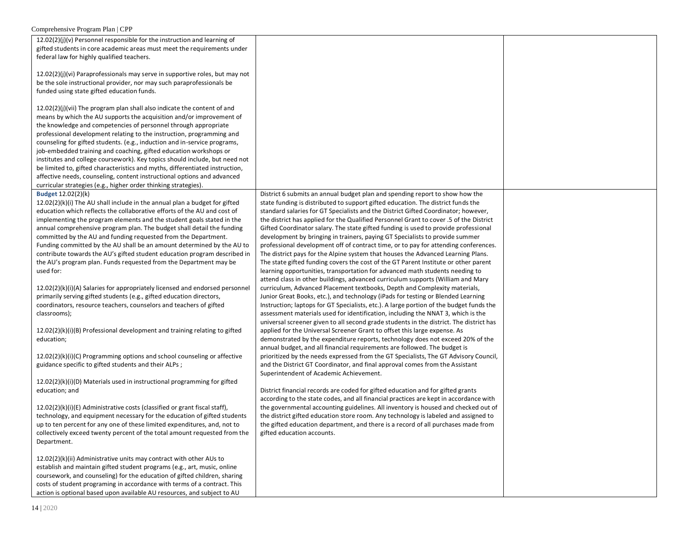| $12.02(2)(j)(v)$ Personnel responsible for the instruction and learning of<br>gifted students in core academic areas must meet the requirements under<br>federal law for highly qualified teachers.<br>$12.02(2)(j)(vi)$ Paraprofessionals may serve in supportive roles, but may not<br>be the sole instructional provider, nor may such paraprofessionals be<br>funded using state gifted education funds.<br>12.02(2)(j)(vii) The program plan shall also indicate the content of and<br>means by which the AU supports the acquisition and/or improvement of<br>the knowledge and competencies of personnel through appropriate<br>professional development relating to the instruction, programming and<br>counseling for gifted students. (e.g., induction and in-service programs,<br>job-embedded training and coaching, gifted education workshops or<br>institutes and college coursework). Key topics should include, but need not<br>be limited to, gifted characteristics and myths, differentiated instruction,<br>affective needs, counseling, content instructional options and advanced<br>curricular strategies (e.g., higher order thinking strategies).                                                                                                                                                                                                                                                                                                                                                                                                                                                                                                                                                                                                                                                                                                                                                                         |                                                                                                                                                                                                                                                                                                                                                                                                                                                                                                                                                                                                                                                                                                                                                                                                                                                                                                                                                                                                                                                                                                                                                                                                                                                                                                                                                                                                                                                                                                                                                                                                                                                                                                                                                                                                                                                                                                                                                                                                                                                                                                                                                                                                                                                                                                                                                    |  |
|-----------------------------------------------------------------------------------------------------------------------------------------------------------------------------------------------------------------------------------------------------------------------------------------------------------------------------------------------------------------------------------------------------------------------------------------------------------------------------------------------------------------------------------------------------------------------------------------------------------------------------------------------------------------------------------------------------------------------------------------------------------------------------------------------------------------------------------------------------------------------------------------------------------------------------------------------------------------------------------------------------------------------------------------------------------------------------------------------------------------------------------------------------------------------------------------------------------------------------------------------------------------------------------------------------------------------------------------------------------------------------------------------------------------------------------------------------------------------------------------------------------------------------------------------------------------------------------------------------------------------------------------------------------------------------------------------------------------------------------------------------------------------------------------------------------------------------------------------------------------------------------------------------------------------------------------------------|----------------------------------------------------------------------------------------------------------------------------------------------------------------------------------------------------------------------------------------------------------------------------------------------------------------------------------------------------------------------------------------------------------------------------------------------------------------------------------------------------------------------------------------------------------------------------------------------------------------------------------------------------------------------------------------------------------------------------------------------------------------------------------------------------------------------------------------------------------------------------------------------------------------------------------------------------------------------------------------------------------------------------------------------------------------------------------------------------------------------------------------------------------------------------------------------------------------------------------------------------------------------------------------------------------------------------------------------------------------------------------------------------------------------------------------------------------------------------------------------------------------------------------------------------------------------------------------------------------------------------------------------------------------------------------------------------------------------------------------------------------------------------------------------------------------------------------------------------------------------------------------------------------------------------------------------------------------------------------------------------------------------------------------------------------------------------------------------------------------------------------------------------------------------------------------------------------------------------------------------------------------------------------------------------------------------------------------------------|--|
| Budget 12.02(2)(k)<br>$12.02(2)(k)(i)$ The AU shall include in the annual plan a budget for gifted<br>education which reflects the collaborative efforts of the AU and cost of<br>implementing the program elements and the student goals stated in the<br>annual comprehensive program plan. The budget shall detail the funding<br>committed by the AU and funding requested from the Department.<br>Funding committed by the AU shall be an amount determined by the AU to<br>contribute towards the AU's gifted student education program described in<br>the AU's program plan. Funds requested from the Department may be<br>used for:<br>$12.02(2)(k)(i)(A)$ Salaries for appropriately licensed and endorsed personnel<br>primarily serving gifted students (e.g., gifted education directors,<br>coordinators, resource teachers, counselors and teachers of gifted<br>classrooms);<br>12.02(2)(k)(i)(B) Professional development and training relating to gifted<br>education;<br>12.02(2)(k)(i)(C) Programming options and school counseling or affective<br>guidance specific to gifted students and their ALPs;<br>12.02(2)(k)(i)(D) Materials used in instructional programming for gifted<br>education; and<br>12.02(2)(k)(i)(E) Administrative costs (classified or grant fiscal staff),<br>technology, and equipment necessary for the education of gifted students<br>up to ten percent for any one of these limited expenditures, and, not to<br>collectively exceed twenty percent of the total amount requested from the<br>Department.<br>12.02(2)(k)(ii) Administrative units may contract with other AUs to<br>establish and maintain gifted student programs (e.g., art, music, online<br>coursework, and counseling) for the education of gifted children, sharing<br>costs of student programing in accordance with terms of a contract. This<br>action is optional based upon available AU resources, and subject to AU | District 6 submits an annual budget plan and spending report to show how the<br>state funding is distributed to support gifted education. The district funds the<br>standard salaries for GT Specialists and the District Gifted Coordinator; however,<br>the district has applied for the Qualified Personnel Grant to cover .5 of the District<br>Gifted Coordinator salary. The state gifted funding is used to provide professional<br>development by bringing in trainers, paying GT Specialists to provide summer<br>professional development off of contract time, or to pay for attending conferences.<br>The district pays for the Alpine system that houses the Advanced Learning Plans.<br>The state gifted funding covers the cost of the GT Parent Institute or other parent<br>learning opportunities, transportation for advanced math students needing to<br>attend class in other buildings, advanced curriculum supports (William and Mary<br>curriculum, Advanced Placement textbooks, Depth and Complexity materials,<br>Junior Great Books, etc.), and technology (iPads for testing or Blended Learning<br>Instruction; laptops for GT Specialists, etc.). A large portion of the budget funds the<br>assessment materials used for identification, including the NNAT 3, which is the<br>universal screener given to all second grade students in the district. The district has<br>applied for the Universal Screener Grant to offset this large expense. As<br>demonstrated by the expenditure reports, technology does not exceed 20% of the<br>annual budget, and all financial requirements are followed. The budget is<br>prioritized by the needs expressed from the GT Specialists, The GT Advisory Council,<br>and the District GT Coordinator, and final approval comes from the Assistant<br>Superintendent of Academic Achievement.<br>District financial records are coded for gifted education and for gifted grants<br>according to the state codes, and all financial practices are kept in accordance with<br>the governmental accounting guidelines. All inventory is housed and checked out of<br>the district gifted education store room. Any technology is labeled and assigned to<br>the gifted education department, and there is a record of all purchases made from<br>gifted education accounts. |  |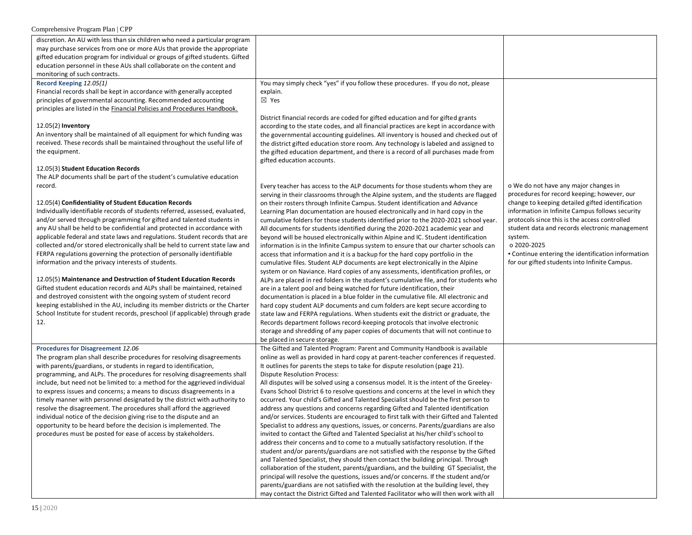| discretion. An AU with less than six children who need a particular program   |                                                                                       |                                                    |
|-------------------------------------------------------------------------------|---------------------------------------------------------------------------------------|----------------------------------------------------|
| may purchase services from one or more AUs that provide the appropriate       |                                                                                       |                                                    |
| gifted education program for individual or groups of gifted students. Gifted  |                                                                                       |                                                    |
| education personnel in these AUs shall collaborate on the content and         |                                                                                       |                                                    |
| monitoring of such contracts.                                                 |                                                                                       |                                                    |
| Record Keeping 12.05(1)                                                       | You may simply check "yes" if you follow these procedures. If you do not, please      |                                                    |
| Financial records shall be kept in accordance with generally accepted         | explain.                                                                              |                                                    |
| principles of governmental accounting. Recommended accounting                 | $\boxtimes$ Yes                                                                       |                                                    |
| principles are listed in the Financial Policies and Procedures Handbook.      |                                                                                       |                                                    |
|                                                                               | District financial records are coded for gifted education and for gifted grants       |                                                    |
| 12.05(2) Inventory                                                            | according to the state codes, and all financial practices are kept in accordance with |                                                    |
| An inventory shall be maintained of all equipment for which funding was       | the governmental accounting guidelines. All inventory is housed and checked out of    |                                                    |
| received. These records shall be maintained throughout the useful life of     | the district gifted education store room. Any technology is labeled and assigned to   |                                                    |
| the equipment.                                                                | the gifted education department, and there is a record of all purchases made from     |                                                    |
|                                                                               | gifted education accounts.                                                            |                                                    |
| 12.05(3) Student Education Records                                            |                                                                                       |                                                    |
| The ALP documents shall be part of the student's cumulative education         |                                                                                       |                                                    |
| record.                                                                       | Every teacher has access to the ALP documents for those students whom they are        | o We do not have any major changes in              |
|                                                                               | serving in their classrooms through the Alpine system, and the students are flagged   | procedures for record keeping; however, our        |
| 12.05(4) Confidentiality of Student Education Records                         | on their rosters through Infinite Campus. Student identification and Advance          | change to keeping detailed gifted identification   |
| Individually identifiable records of students referred, assessed, evaluated,  | Learning Plan documentation are housed electronically and in hard copy in the         | information in Infinite Campus follows security    |
| and/or served through programming for gifted and talented students in         | cumulative folders for those students identified prior to the 2020-2021 school year.  | protocols since this is the access controlled      |
| any AU shall be held to be confidential and protected in accordance with      | All documents for students identified during the 2020-2021 academic year and          | student data and records electronic management     |
| applicable federal and state laws and regulations. Student records that are   | beyond will be housed electronically within Alpine and IC. Student identification     | system.                                            |
| collected and/or stored electronically shall be held to current state law and | information is in the Infinite Campus system to ensure that our charter schools can   | o 2020-2025                                        |
| FERPA regulations governing the protection of personally identifiable         | access that information and it is a backup for the hard copy portfolio in the         | • Continue entering the identification information |
| information and the privacy interests of students.                            | cumulative files. Student ALP documents are kept electronically in the Alpine         | for our gifted students into Infinite Campus.      |
|                                                                               | system or on Naviance. Hard copies of any assessments, identification profiles, or    |                                                    |
| 12.05(5) Maintenance and Destruction of Student Education Records             | ALPs are placed in red folders in the student's cumulative file, and for students who |                                                    |
| Gifted student education records and ALPs shall be maintained, retained       | are in a talent pool and being watched for future identification, their               |                                                    |
| and destroyed consistent with the ongoing system of student record            | documentation is placed in a blue folder in the cumulative file. All electronic and   |                                                    |
| keeping established in the AU, including its member districts or the Charter  | hard copy student ALP documents and cum folders are kept secure according to          |                                                    |
| School Institute for student records, preschool (if applicable) through grade | state law and FERPA regulations. When students exit the district or graduate, the     |                                                    |
| 12.                                                                           | Records department follows record-keeping protocols that involve electronic           |                                                    |
|                                                                               | storage and shredding of any paper copies of documents that will not continue to      |                                                    |
|                                                                               | be placed in secure storage.                                                          |                                                    |
| <b>Procedures for Disagreement 12.06</b>                                      | The Gifted and Talented Program: Parent and Community Handbook is available           |                                                    |
| The program plan shall describe procedures for resolving disagreements        | online as well as provided in hard copy at parent-teacher conferences if requested.   |                                                    |
| with parents/guardians, or students in regard to identification,              | It outlines for parents the steps to take for dispute resolution (page 21).           |                                                    |
| programming, and ALPs. The procedures for resolving disagreements shall       | <b>Dispute Resolution Process:</b>                                                    |                                                    |
| include, but need not be limited to: a method for the aggrieved individual    | All disputes will be solved using a consensus model. It is the intent of the Greeley- |                                                    |
| to express issues and concerns; a means to discuss disagreements in a         | Evans School District 6 to resolve questions and concerns at the level in which they  |                                                    |
| timely manner with personnel designated by the district with authority to     | occurred. Your child's Gifted and Talented Specialist should be the first person to   |                                                    |
| resolve the disagreement. The procedures shall afford the aggrieved           | address any questions and concerns regarding Gifted and Talented identification       |                                                    |
| individual notice of the decision giving rise to the dispute and an           | and/or services. Students are encouraged to first talk with their Gifted and Talented |                                                    |
| opportunity to be heard before the decision is implemented. The               | Specialist to address any questions, issues, or concerns. Parents/guardians are also  |                                                    |
| procedures must be posted for ease of access by stakeholders.                 | invited to contact the Gifted and Talented Specialist at his/her child's school to    |                                                    |
|                                                                               | address their concerns and to come to a mutually satisfactory resolution. If the      |                                                    |
|                                                                               | student and/or parents/guardians are not satisfied with the response by the Gifted    |                                                    |
|                                                                               | and Talented Specialist, they should then contact the building principal. Through     |                                                    |
|                                                                               | collaboration of the student, parents/guardians, and the building GT Specialist, the  |                                                    |
|                                                                               | principal will resolve the questions, issues and/or concerns. If the student and/or   |                                                    |
|                                                                               | parents/guardians are not satisfied with the resolution at the building level, they   |                                                    |
|                                                                               | may contact the District Gifted and Talented Facilitator who will then work with all  |                                                    |